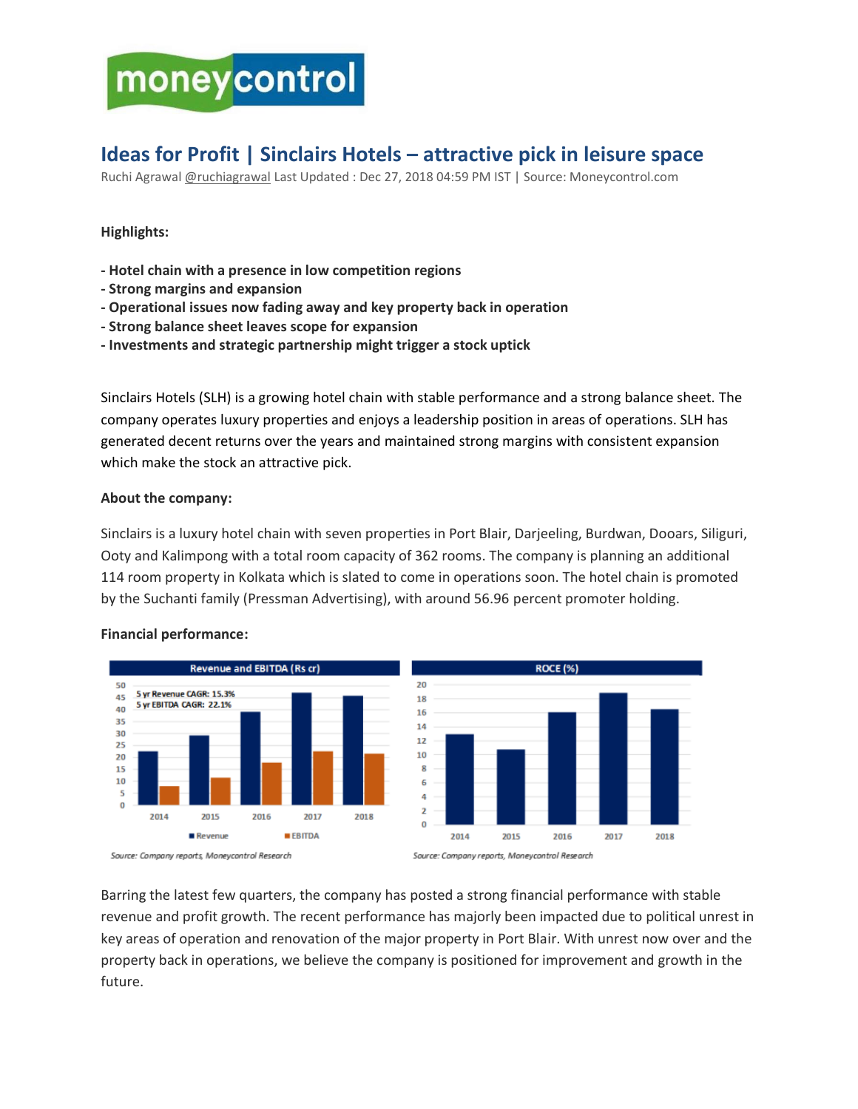# moneycontrol

# **Ideas for Profit | Sinclairs Hotels – attractive pick in leisure space**

Ruchi Agrawal [@ruchiagrawal](https://twitter.com/ruchiagrawal) Last Updated : Dec 27, 2018 04:59 PM IST | Source: Moneycontrol.com

# **Highlights:**

- **- Hotel chain with a presence in low competition regions**
- **- Strong margins and expansion**
- **- Operational issues now fading away and key property back in operation**
- **- Strong balance sheet leaves scope for expansion**
- **- Investments and strategic partnership might trigger a stock uptick**

Sinclairs [Hotels \(SLH\)](http://www.moneycontrol.com/india/stockpricequote/hotels/sinclairshotels/SH11) is a growing hotel chain with stable performance and a strong balance sheet. The company operates luxury properties and enjoys a leadership position in areas of operations. SLH has generated decent returns over the years and maintained strong margins with consistent expansion which make the stock an attractive pick.

## **About the company:**

Sinclairs is a luxury hotel chain with seven properties in Port Blair, Darjeeling, Burdwan, Dooars, Siliguri, Ooty and Kalimpong with a total room capacity of 362 rooms. The company is planning an additional 114 room property in Kolkata which is slated to come in operations soon. The hotel chain is promoted by the Suchanti family (Pressman Advertising), with around 56.96 percent promoter holding.



#### **Financial performance:**

Barring the latest few quarters, the company has posted a strong financial performance with stable revenue and profit growth. The recent performance has majorly been impacted due to political unrest in key areas of operation and renovation of the major property in Port Blair. With unrest now over and the property back in operations, we believe the company is positioned for improvement and growth in the future.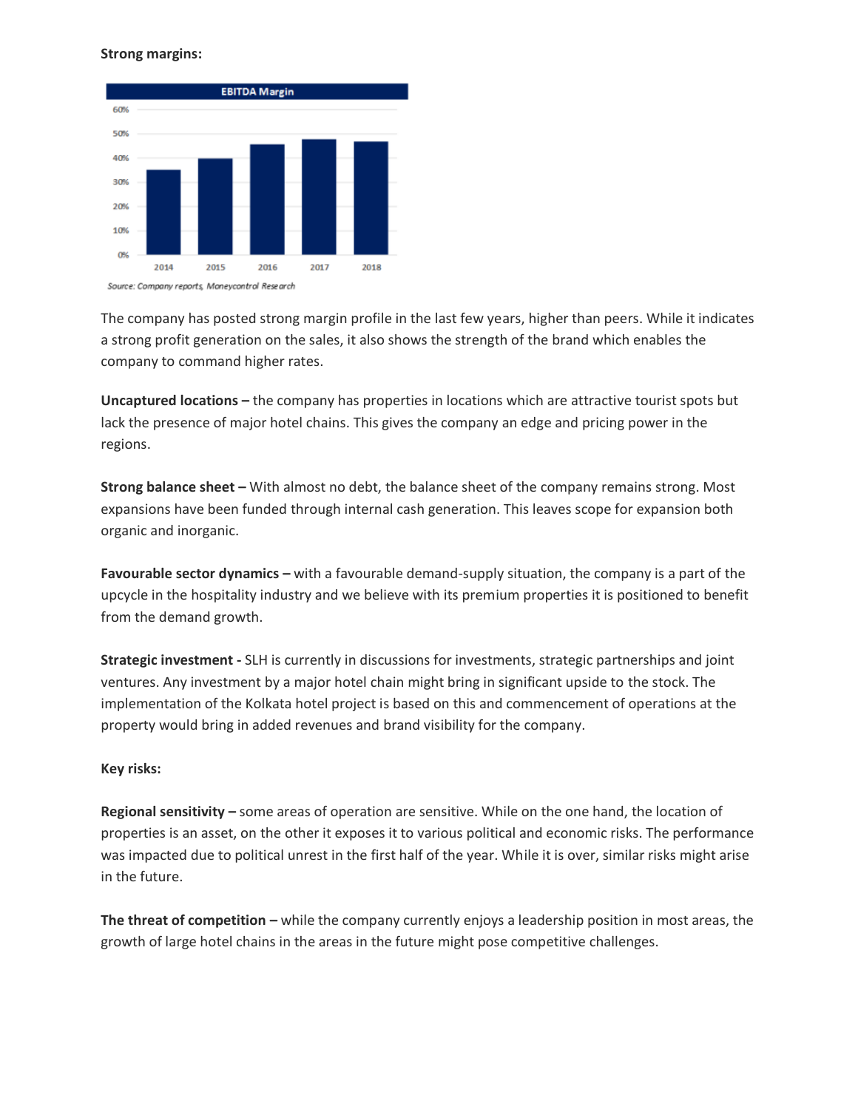#### **Strong margins:**



The company has posted strong margin profile in the last few years, higher than peers. While it indicates a strong profit generation on the sales, it also shows the strength of the brand which enables the company to command higher rates.

**Uncaptured locations –** the company has properties in locations which are attractive tourist spots but lack the presence of major hotel chains. This gives the company an edge and pricing power in the regions.

**Strong balance sheet –** With almost no debt, the balance sheet of the company remains strong. Most expansions have been funded through internal cash generation. This leaves scope for expansion both organic and inorganic.

**Favourable sector dynamics –** with a favourable demand-supply situation, the company is a part of the upcycle in the hospitality industry and we believe with its premium properties it is positioned to benefit from the demand growth.

**Strategic investment -** SLH is currently in discussions for investments, strategic partnerships and joint ventures. Any investment by a major hotel chain might bring in significant upside to the stock. The implementation of the Kolkata hotel project is based on this and commencement of operations at the property would bring in added revenues and brand visibility for the company.

#### **Key risks:**

**Regional sensitivity –** some areas of operation are sensitive. While on the one hand, the location of properties is an asset, on the other it exposes it to various political and economic risks. The performance was impacted due to political unrest in the first half of the year. While it is over, similar risks might arise in the future.

**The threat of competition –** while the company currently enjoys a leadership position in most areas, the growth of large hotel chains in the areas in the future might pose competitive challenges.